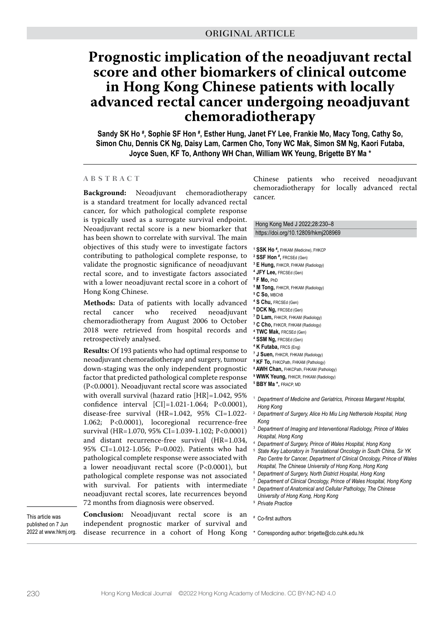# **Prognostic implication of the neoadjuvant rectal score and other biomarkers of clinical outcome in Hong Kong Chinese patients with locally advanced rectal cancer undergoing neoadjuvant chemoradiotherapy**

Sandy SK Ho <sup>#</sup>, Sophie SF Hon <sup>#</sup>, Esther Hung, Janet FY Lee, Frankie Mo, Macy Tong, Cathy So, **Simon Chu, Dennis CK Ng, Daisy Lam, Carmen Cho, Tony WC Mak, Simon SM Ng, Kaori Futaba, Joyce Suen, KF To, Anthony WH Chan, William WK Yeung, Brigette BY Ma \***

### **ABSTRACT**

**Background:** Neoadjuvant chemoradiotherapy is a standard treatment for locally advanced rectal cancer, for which pathological complete response is typically used as a surrogate survival endpoint. Neoadjuvant rectal score is a new biomarker that has been shown to correlate with survival. The main objectives of this study were to investigate factors contributing to pathological complete response, to validate the prognostic significance of neoadjuvant rectal score, and to investigate factors associated with a lower neoadjuvant rectal score in a cohort of Hong Kong Chinese.

**Methods:** Data of patients with locally advanced rectal cancer who received neoadjuvant chemoradiotherapy from August 2006 to October 2018 were retrieved from hospital records and retrospectively analysed.

**Results:** Of 193 patients who had optimal response to neoadjuvant chemoradiotherapy and surgery, tumour down-staging was the only independent prognostic factor that predicted pathological complete response (P<0.0001). Neoadjuvant rectal score was associated with overall survival (hazard ratio [HR]=1.042, 95% confidence interval [CI]=1.021-1.064; P<0.0001), disease-free survival (HR=1.042, 95% CI=1.022- 1.062; P<0.0001), locoregional recurrence-free survival (HR=1.070, 95% CI=1.039-1.102; P<0.0001) and distant recurrence-free survival (HR=1.034, 95% CI=1.012-1.056; P=0.002). Patients who had pathological complete response were associated with a lower neoadjuvant rectal score (P<0.0001), but pathological complete response was not associated with survival. For patients with intermediate neoadjuvant rectal scores, late recurrences beyond 72 months from diagnosis were observed.

This article was published on 7 Jun 2022 at www.hkmj.org.

**Conclusion:** Neoadjuvant rectal score is an independent prognostic marker of survival and disease recurrence in a cohort of Hong Kong

Chinese patients who received neoadjuvant chemoradiotherapy for locally advanced rectal cancer.

Hong Kong Med J 2022;28:230–8 https://doi.org/10.12809/hkmj208969

- **1 SSK Ho # ,** FHKAM (Medicine), FHKCP **2 SSF Hon # ,** FRCSEd (Gen) **3 E Hung,** FHKCR, FHKAM (Radiology) **4 JFY Lee,** FRCSEd (Gen) **5 F Mo,** PhD
- **5 M Tong,** FHKCR, FHKAM (Radiology)
- **5 C So,** MBChB
- **4 S Chu,** FRCSEd (Gen)
- **6 DCK Ng,** FRCSEd (Gen)
- **7 D Lam,** FHKCR, FHKAM (Radiology)
- **3 C Cho,** FHKCR, FHKAM (Radiology)
- **4 TWC Mak,** FRCSEd (Gen)
- **4 SSM Ng,** FRCSEd (Gen)
- **4 K Futaba,** FRCS (Eng)
- **7 J Suen,** FHKCR, FHKAM (Radiology)
- **8 KF To,** FHKCPath, FHKAM (Pathology)
- **8 AWH Chan,** FHKCPath, FHKAM (Pathology)
- **9 WWK Yeung,** FHKCR, FHKAM (Radiology)
- **5 BBY Ma \*,** FRACP, MD
- <sup>1</sup> *Department of Medicine and Geriatrics, Princess Margaret Hospital, Hong Kong*
- <sup>2</sup> *Department of Surgery, Alice Ho Miu Ling Nethersole Hospital, Hong Kong*
- <sup>3</sup> *Department of Imaging and Interventional Radiology, Prince of Wales Hospital, Hong Kong*
- <sup>4</sup> *Department of Surgery, Prince of Wales Hospital, Hong Kong*
- <sup>5</sup> *State Key Laboratory in Translational Oncology in South China, Sir YK Pao Centre for Cancer, Department of Clinical Oncology, Prince of Wales Hospital, The Chinese University of Hong Kong, Hong Kong*
- <sup>6</sup> *Department of Surgery, North District Hospital, Hong Kong*
- <sup>7</sup> *Department of Clinical Oncology, Prince of Wales Hospital, Hong Kong* <sup>8</sup> *Department of Anatomical and Cellular Pathology, The Chinese*
- *University of Hong Kong, Hong Kong*
- <sup>9</sup> *Private Practice*
- # Co-first authors
- \* Corresponding author: brigette@clo.cuhk.edu.hk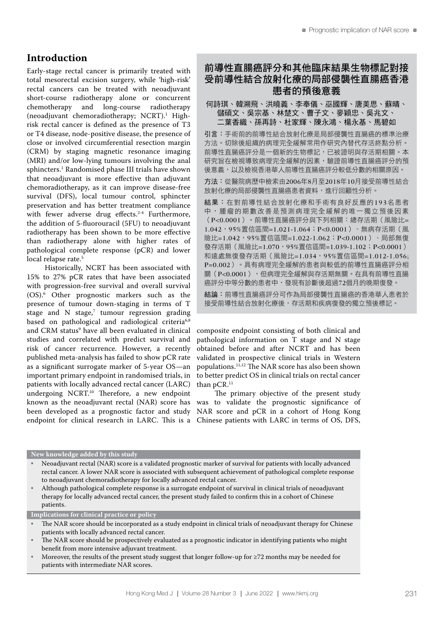# **Introduction**

Early-stage rectal cancer is primarily treated with total mesorectal excision surgery, while 'high-risk' rectal cancers can be treated with neoadjuvant short-course radiotherapy alone or concurrent chemotherapy and long-course radiotherapy (neoadjuvant chemoradiotherapy; NCRT).<sup>1</sup> Highrisk rectal cancer is defined as the presence of T3 or T4 disease, node-positive disease, the presence of close or involved circumferential resection margin (CRM) by staging magnetic resonance imaging (MRI) and/or low-lying tumours involving the anal sphincters.1 Randomised phase III trials have shown that neoadjuvant is more effective than adjuvant chemoradiotherapy, as it can improve disease-free survival (DFS), local tumour control, sphincter preservation and has better treatment compliance with fewer adverse drug effects.<sup>2-4</sup> Furthermore, the addition of 5-fluorouracil (5FU) to neoadjuvant radiotherapy has been shown to be more effective than radiotherapy alone with higher rates of pathological complete response (pCR) and lower local relapse rate.<sup>5</sup>

Historically, NCRT has been associated with 15% to 27% pCR rates that have been associated with progression-free survival and overall survival (OS).6 Other prognostic markers such as the presence of tumour down-staging in terms of T stage and  $N$  stage,<sup>7</sup> tumour regression grading based on pathological and radiological criteria<sup>6,8</sup> and CRM status<sup>9</sup> have all been evaluated in clinical studies and correlated with predict survival and risk of cancer recurrence. However, a recently published meta-analysis has failed to show pCR rate as a significant surrogate marker of 5-year OS—an important primary endpoint in randomised trials, in patients with locally advanced rectal cancer (LARC) undergoing NCRT.10 Therefore, a new endpoint known as the neoadjuvant rectal (NAR) score has been developed as a prognostic factor and study NAR score and pCR in a cohort of Hong Kong

# 前導性直腸癌評分和其他臨床結果生物標記對接 受前導性結合放射化療的局部侵襲性直腸癌香港 患者的預後意義

## 何詩琪、韓溯飛、洪曉義、李奉儀、巫國輝、唐美思、蘇晴、 儲碩文、吳宗基、林楚文、曹子文、麥穎忠、吳兆文、 二葉香織、孫再詩、杜家輝、陳永鴻、楊永基、馬碧如

引言:手術前的前導性結合放射化療是局部侵襲性直腸癌的標準治療 方法。切除後組織的病理完全緩解常用作研究內替代存活終點分析。 前導性直腸癌評分是一個新的生物標記,已被證明與存活期相關。本 研究旨在檢視導致病理完全緩解的因素,驗證前導性直腸癌評分的預 後意義,以及檢視香港華人前導性直腸癌評分較低分數的相關原因。

方法:從醫院病歷中檢索由2006年8月至2018年10月接受前導性結合 放射化療的局部侵襲性直腸癌患者資料,進行回顧性分析。

結果:在對前導性結合放射化療和手術有良好反應的193名患者 中,腫瘤的期數改善是預測病理完全緩解的唯一獨立預後因素 (P<0.0001)。前導性直腸癌評分與下列相關:總存活期(風險比= 1.042,95%置信區間=1.021-1.064;P<0.0001)、無病存活期(風 險比=1.042,95%置信區間=1.022-1.062;P<0.0001)、局部無復 發存活期 (風險比=1.070,95%置信區間=1.039-1.102; P<0.0001) 和遠處無復發存活期(風險比=1.034,95%置信區間=1.012-1.056; P=0.002)。具有病理完全緩解的患者與較低的前導性直腸癌評分相 關(P<0.0001),但病理完全緩解與存活期無關。在具有前導性直腸 癌評分中等分數的患者中,發現有診斷後超過72個月的晚期復發。

結論:前導性直腸癌評分可作為局部侵襲性直腸癌的香港華人患者於 接受前導性結合放射化療後,存活期和疾病復發的獨立預後標記。

composite endpoint consisting of both clinical and pathological information on T stage and N stage obtained before and after NCRT and has been validated in prospective clinical trials in Western populations.11,12 The NAR score has also been shown to better predict OS in clinical trials on rectal cancer than  $pCR$ .<sup>11</sup>

endpoint for clinical research in LARC. This is a Chinese patients with LARC in terms of OS, DFS, The primary objective of the present study was to validate the prognostic significance of

#### **New knowledge added by this study**

- Neoadjuvant rectal (NAR) score is a validated prognostic marker of survival for patients with locally advanced rectal cancer. A lower NAR score is associated with subsequent achievement of pathological complete response to neoadjuvant chemoradiotherapy for locally advanced rectal cancer.
- Although pathological complete response is a surrogate endpoint of survival in clinical trials of neoadjuvant therapy for locally advanced rectal cancer, the present study failed to confirm this in a cohort of Chinese patients.

**Implications for clinical practice or policy**

- The NAR score should be incorporated as a study endpoint in clinical trials of neoadjuvant therapy for Chinese patients with locally advanced rectal cancer.
- The NAR score should be prospectively evaluated as a prognostic indicator in identifying patients who might benefit from more intensive adjuvant treatment.
- Moreover, the results of the present study suggest that longer follow-up for ≥72 months may be needed for patients with intermediate NAR scores.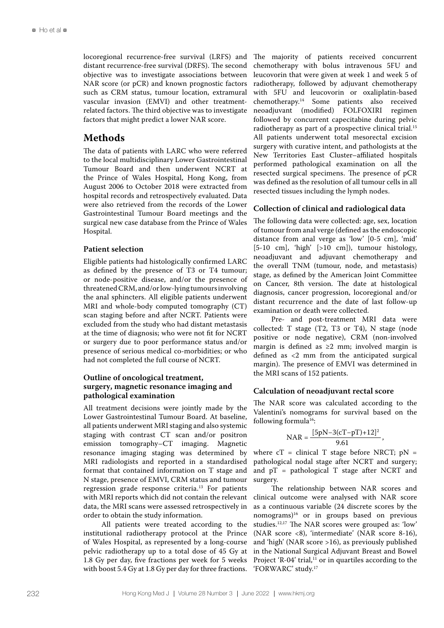locoregional recurrence-free survival (LRFS) and distant recurrence-free survival (DRFS). The second objective was to investigate associations between NAR score (or pCR) and known prognostic factors such as CRM status, tumour location, extramural vascular invasion (EMVI) and other treatmentrelated factors. The third objective was to investigate factors that might predict a lower NAR score.

# **Methods**

The data of patients with LARC who were referred to the local multidisciplinary Lower Gastrointestinal Tumour Board and then underwent NCRT at the Prince of Wales Hospital, Hong Kong, from August 2006 to October 2018 were extracted from hospital records and retrospectively evaluated. Data were also retrieved from the records of the Lower Gastrointestinal Tumour Board meetings and the surgical new case database from the Prince of Wales Hospital.

## **Patient selection**

Eligible patients had histologically confirmed LARC as defined by the presence of T3 or T4 tumour; or node-positive disease, and/or the presence of threatened CRM, and/or low-lying tumours involving the anal sphincters. All eligible patients underwent MRI and whole-body computed tomography (CT) scan staging before and after NCRT. Patients were excluded from the study who had distant metastasis at the time of diagnosis; who were not fit for NCRT or surgery due to poor performance status and/or presence of serious medical co-morbidities; or who had not completed the full course of NCRT.

## **Outline of oncological treatment, surgery, magnetic resonance imaging and pathological examination**

All treatment decisions were jointly made by the Lower Gastrointestinal Tumour Board. At baseline, all patients underwent MRI staging and also systemic staging with contrast CT scan and/or positron emission tomography–CT imaging. Magnetic resonance imaging staging was determined by MRI radiologists and reported in a standardised format that contained information on T stage and N stage, presence of EMVI, CRM status and tumour regression grade response criteria.<sup>13</sup> For patients with MRI reports which did not contain the relevant data, the MRI scans were assessed retrospectively in order to obtain the study information.

All patients were treated according to the institutional radiotherapy protocol at the Prince of Wales Hospital, as represented by a long-course pelvic radiotherapy up to a total dose of 45 Gy at 1.8 Gy per day, five fractions per week for 5 weeks with boost 5.4 Gy at 1.8 Gy per day for three fractions.

The majority of patients received concurrent chemotherapy with bolus intravenous 5FU and leucovorin that were given at week 1 and week 5 of radiotherapy, followed by adjuvant chemotherapy with 5FU and leucovorin or oxaliplatin-based chemotherapy.14 Some patients also received neoadjuvant (modified) FOLFOXIRI regimen followed by concurrent capecitabine during pelvic radiotherapy as part of a prospective clinical trial.15 All patients underwent total mesorectal excision surgery with curative intent, and pathologists at the New Territories East Cluster–affiliated hospitals performed pathological examination on all the resected surgical specimens. The presence of pCR was defined as the resolution of all tumour cells in all resected tissues including the lymph nodes.

## **Collection of clinical and radiological data**

The following data were collected: age, sex, location of tumour from anal verge (defined as the endoscopic distance from anal verge as 'low' [0-5 cm], 'mid' [5-10 cm], 'high' [>10 cm]), tumour histology, neoadjuvant and adjuvant chemotherapy and the overall TNM (tumour, node, and metastasis) stage, as defined by the American Joint Committee on Cancer, 8th version. The date at histological diagnosis, cancer progression, locoregional and/or distant recurrence and the date of last follow-up examination or death were collected.

Pre- and post-treatment MRI data were collected: T stage (T2, T3 or T4), N stage (node positive or node negative), CRM (non-involved margin is defined as ≥2 mm; involved margin is defined as <2 mm from the anticipated surgical margin). The presence of EMVI was determined in the MRI scans of 152 patients.

#### **Calculation of neoadjuvant rectal score**

The NAR score was calculated according to the Valentini's nomograms for survival based on the following formula<sup>16</sup>:

$$
NAR = \frac{[5pN-3(cT-pT)+12]^2}{9.61},
$$

where  $cT =$  clinical T stage before NRCT;  $pN =$ pathological nodal stage after NCRT and surgery; and pT = pathological T stage after NCRT and surgery.

The relationship between NAR scores and clinical outcome were analysed with NAR score as a continuous variable (24 discrete scores by the nomograms)16 or in groups based on previous studies.12,17 The NAR scores were grouped as: 'low' (NAR score <8), 'intermediate' (NAR score 8-16), and 'high' (NAR score >16), as previously published in the National Surgical Adjuvant Breast and Bowel Project 'R-04' trial, $^{11}$  or in quartiles according to the 'FORWARC' study.17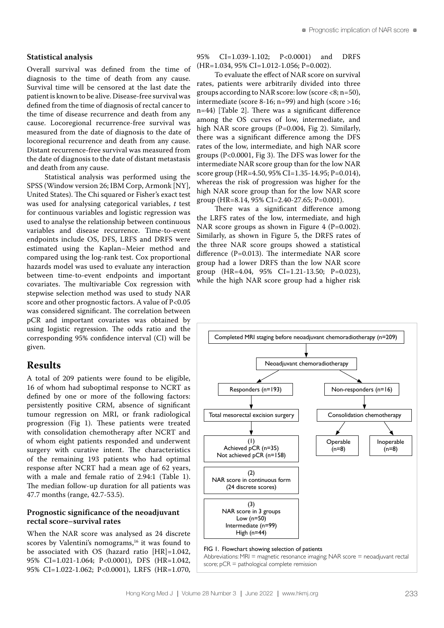### **Statistical analysis**

Overall survival was defined from the time of diagnosis to the time of death from any cause. Survival time will be censored at the last date the patient is known to be alive. Disease-free survival was defined from the time of diagnosis of rectal cancer to the time of disease recurrence and death from any cause. Locoregional recurrence-free survival was measured from the date of diagnosis to the date of locoregional recurrence and death from any cause. Distant recurrence-free survival was measured from the date of diagnosis to the date of distant metastasis and death from any cause.

Statistical analysis was performed using the SPSS (Window version 26; IBM Corp, Armonk [NY], United States). The Chi squared or Fisher's exact test was used for analysing categorical variables, *t* test for continuous variables and logistic regression was used to analyse the relationship between continuous variables and disease recurrence. Time-to-event endpoints include OS, DFS, LRFS and DRFS were estimated using the Kaplan–Meier method and compared using the log-rank test. Cox proportional hazards model was used to evaluate any interaction between time-to-event endpoints and important covariates. The multivariable Cox regression with stepwise selection method was used to study NAR score and other prognostic factors. A value of P<0.05 was considered significant. The correlation between pCR and important covariates was obtained by using logistic regression. The odds ratio and the corresponding 95% confidence interval (CI) will be given.

# **Results**

A total of 209 patients were found to be eligible, 16 of whom had suboptimal response to NCRT as defined by one or more of the following factors: persistently positive CRM, absence of significant tumour regression on MRI, or frank radiological progression (Fig 1). These patients were treated with consolidation chemotherapy after NCRT and of whom eight patients responded and underwent surgery with curative intent. The characteristics of the remaining 193 patients who had optimal response after NCRT had a mean age of 62 years, with a male and female ratio of 2.94:1 (Table 1). The median follow-up duration for all patients was 47.7 months (range, 42.7-53.5).

## **Prognostic significance of the neoadjuvant rectal score–survival rates**

When the NAR score was analysed as 24 discrete scores by Valentini's nomograms, $16$  it was found to be associated with OS (hazard ratio [HR]=1.042, 95% CI=1.021-1.064; P<0.0001), DFS (HR=1.042, 95% CI=1.022-1.062; P<0.0001), LRFS (HR=1.070, 95% CI=1.039-1.102; P<0.0001) and DRFS (HR=1.034, 95% CI=1.012-1.056; P=0.002).

To evaluate the effect of NAR score on survival rates, patients were arbitrarily divided into three groups according to NAR score: low (score <8; n=50), intermediate (score 8-16; n=99) and high (score >16; n=44) [Table 2]. There was a significant difference among the OS curves of low, intermediate, and high NAR score groups (P=0.004, Fig 2). Similarly, there was a significant difference among the DFS rates of the low, intermediate, and high NAR score groups (P<0.0001, Fig 3). The DFS was lower for the intermediate NAR score group than for the low NAR score group (HR=4.50, 95% CI=1.35-14.95; P=0.014), whereas the risk of progression was higher for the high NAR score group than for the low NAR score group (HR=8.14, 95% CI=2.40-27.65; P=0.001).

There was a significant difference among the LRFS rates of the low, intermediate, and high NAR score groups as shown in Figure 4 (P=0.002). Similarly, as shown in Figure 5, the DRFS rates of the three NAR score groups showed a statistical difference (P=0.013). The intermediate NAR score group had a lower DRFS than the low NAR score group (HR=4.04, 95% CI=1.21-13.50; P=0.023), while the high NAR score group had a higher risk

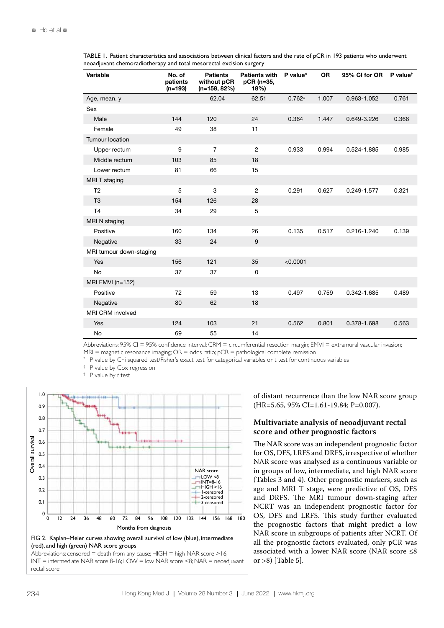TABLE 1. Patient characteristics and associations between clinical factors and the rate of pCR in 193 patients who underwent neoadjuvant chemoradiotherapy and total mesorectal excision surgery

| Variable                | No. of<br>patients<br>$(n=193)$ | <b>Patients</b><br>without pCR<br>$(n=158, 82%)$ | <b>Patients with</b><br>pCR (n=35,<br>18%) | P value*    | <b>OR</b> | 95% CI for OR | $P$ value <sup>t</sup> |
|-------------------------|---------------------------------|--------------------------------------------------|--------------------------------------------|-------------|-----------|---------------|------------------------|
| Age, mean, y            |                                 | 62.04                                            | 62.51                                      | $0.762^{+}$ | 1.007     | 0.963-1.052   | 0.761                  |
| Sex                     |                                 |                                                  |                                            |             |           |               |                        |
| Male                    | 144                             | 120                                              | 24                                         | 0.364       | 1.447     | 0.649-3.226   | 0.366                  |
| Female                  | 49                              | 38                                               | 11                                         |             |           |               |                        |
| Tumour location         |                                 |                                                  |                                            |             |           |               |                        |
| Upper rectum            | 9                               | $\overline{7}$                                   | $\overline{2}$                             | 0.933       | 0.994     | 0.524-1.885   | 0.985                  |
| Middle rectum           | 103                             | 85                                               | 18                                         |             |           |               |                        |
| Lower rectum            | 81                              | 66                                               | 15                                         |             |           |               |                        |
| MRI T staging           |                                 |                                                  |                                            |             |           |               |                        |
| T <sub>2</sub>          | 5                               | 3                                                | $\overline{2}$                             | 0.291       | 0.627     | 0.249-1.577   | 0.321                  |
| T <sub>3</sub>          | 154                             | 126                                              | 28                                         |             |           |               |                        |
| T <sub>4</sub>          | 34                              | 29                                               | 5                                          |             |           |               |                        |
| MRI N staging           |                                 |                                                  |                                            |             |           |               |                        |
| Positive                | 160                             | 134                                              | 26                                         | 0.135       | 0.517     | 0.216-1.240   | 0.139                  |
| Negative                | 33                              | 24                                               | 9                                          |             |           |               |                        |
| MRI tumour down-staging |                                 |                                                  |                                            |             |           |               |                        |
| Yes                     | 156                             | 121                                              | 35                                         | < 0.0001    |           |               |                        |
| <b>No</b>               | 37                              | 37                                               | 0                                          |             |           |               |                        |
| MRI EMVI ( $n=152$ )    |                                 |                                                  |                                            |             |           |               |                        |
| Positive                | 72                              | 59                                               | 13                                         | 0.497       | 0.759     | 0.342-1.685   | 0.489                  |
| Negative                | 80                              | 62                                               | 18                                         |             |           |               |                        |
| <b>MRI CRM involved</b> |                                 |                                                  |                                            |             |           |               |                        |
| Yes                     | 124                             | 103                                              | 21                                         | 0.562       | 0.801     | 0.378-1.698   | 0.563                  |
| No                      | 69                              | 55                                               | 14                                         |             |           |               |                        |

Abbreviations: 95% CI = 95% confidence interval; CRM = circumferential resection margin; EMVI = extramural vascular invasion;  $MRI$  = magnetic resonance imaging;  $OR =$  odds ratio;  $pCR =$  pathological complete remission

P value by Chi squared test/Fisher's exact test for categorical variables or t test for continuous variables

† P value by Cox regression

‡ P value by *t* test





Abbreviations: censored = death from any cause;  $HIGH$  = high NAR score >16; INT = intermediate NAR score 8-16; LOW = low NAR score <8; NAR = neoadjuvant rectal score

of distant recurrence than the low NAR score group (HR=5.65, 95% CI=1.61-19.84; P=0.007).

# **Multivariate analysis of neoadjuvant rectal score and other prognostic factors**

The NAR score was an independent prognostic factor for OS, DFS, LRFS and DRFS, irrespective of whether NAR score was analysed as a continuous variable or in groups of low, intermediate, and high NAR score (Tables 3 and 4). Other prognostic markers, such as age and MRI T stage, were predictive of OS, DFS and DRFS. The MRI tumour down-staging after NCRT was an independent prognostic factor for OS, DFS and LRFS. This study further evaluated the prognostic factors that might predict a low NAR score in subgroups of patients after NCRT. Of all the prognostic factors evaluated, only pCR was associated with a lower NAR score (NAR score ≤8 or >8) [Table 5].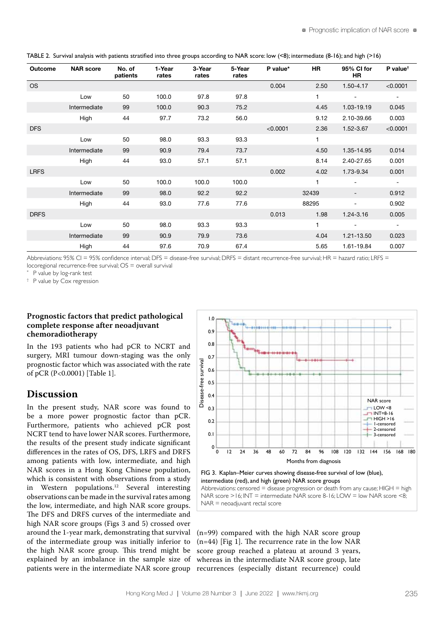| Outcome     | <b>NAR score</b> | No. of<br>patients | 1-Year<br>rates | 3-Year<br>rates | 5-Year<br>rates | P value* | <b>HR</b> | 95% CI for<br>HR.        | $P$ value <sup>t</sup>   |
|-------------|------------------|--------------------|-----------------|-----------------|-----------------|----------|-----------|--------------------------|--------------------------|
| <b>OS</b>   |                  |                    |                 |                 |                 | 0.004    | 2.50      | 1.50-4.17                | < 0.0001                 |
|             | Low              | 50                 | 100.0           | 97.8            | 97.8            |          | 1         | $\overline{\phantom{a}}$ | $\overline{\phantom{a}}$ |
|             | Intermediate     | 99                 | 100.0           | 90.3            | 75.2            |          | 4.45      | 1.03-19.19               | 0.045                    |
|             | High             | 44                 | 97.7            | 73.2            | 56.0            |          | 9.12      | 2.10-39.66               | 0.003                    |
| <b>DFS</b>  |                  |                    |                 |                 |                 | < 0.0001 | 2.36      | 1.52-3.67                | < 0.0001                 |
|             | Low              | 50                 | 98.0            | 93.3            | 93.3            |          | 1         |                          |                          |
|             | Intermediate     | 99                 | 90.9            | 79.4            | 73.7            |          | 4.50      | 1.35-14.95               | 0.014                    |
|             | High             | 44                 | 93.0            | 57.1            | 57.1            |          | 8.14      | 2.40-27.65               | 0.001                    |
| <b>LRFS</b> |                  |                    |                 |                 |                 | 0.002    | 4.02      | 1.73-9.34                | 0.001                    |
|             | Low              | 50                 | 100.0           | 100.0           | 100.0           |          |           |                          | $\blacksquare$           |
|             | Intermediate     | 99                 | 98.0            | 92.2            | 92.2            |          | 32439     | -                        | 0.912                    |
|             | High             | 44                 | 93.0            | 77.6            | 77.6            |          | 88295     |                          | 0.902                    |
| <b>DRFS</b> |                  |                    |                 |                 |                 | 0.013    | 1.98      | 1.24-3.16                | 0.005                    |
|             | Low              | 50                 | 98.0            | 93.3            | 93.3            |          | 1         | ۰                        | $\overline{\phantom{a}}$ |
|             | Intermediate     | 99                 | 90.9            | 79.9            | 73.6            |          | 4.04      | 1.21-13.50               | 0.023                    |
|             | High             | 44                 | 97.6            | 70.9            | 67.4            |          | 5.65      | 1.61-19.84               | 0.007                    |

TABLE 2. Survival analysis with patients stratified into three groups according to NAR score: low (<8); intermediate (8-16); and high (>16)

Abbreviations: 95% CI = 95% confidence interval; DFS = disease-free survival; DRFS = distant recurrence-free survival; HR = hazard ratio; LRFS = locoregional recurrence-free survival; OS = overall survival

P value by log-rank test

† P value by Cox regression

# **Prognostic factors that predict pathological complete response after neoadjuvant chemoradiotherapy**

In the 193 patients who had pCR to NCRT and surgery, MRI tumour down-staging was the only prognostic factor which was associated with the rate of pCR (P<0.0001) [Table 1].

# **Discussion**

In the present study, NAR score was found to be a more power prognostic factor than pCR. Furthermore, patients who achieved pCR post NCRT tend to have lower NAR scores. Furthermore, the results of the present study indicate significant differences in the rates of OS, DFS, LRFS and DRFS among patients with low, intermediate, and high NAR scores in a Hong Kong Chinese population, which is consistent with observations from a study in Western populations.12 Several interesting observations can be made in the survival rates among the low, intermediate, and high NAR score groups. The DFS and DRFS curves of the intermediate and high NAR score groups (Figs 3 and 5) crossed over around the 1-year mark, demonstrating that survival of the intermediate group was initially inferior to the high NAR score group. This trend might be explained by an imbalance in the sample size of patients were in the intermediate NAR score group



FIG 3. Kaplan–Meier curves showing disease-free survival of low (blue), intermediate (red), and high (green) NAR score groups Abbreviations: censored  $=$  disease progression or death from any cause;  $HIGH = high$ 

NAR score  $>16$ ; INT = intermediate NAR score 8-16; LOW = low NAR score <8; NAR = neoadjuvant rectal score

(n=99) compared with the high NAR score group (n=44) [Fig 1]. The recurrence rate in the low NAR score group reached a plateau at around 3 years, whereas in the intermediate NAR score group, late recurrences (especially distant recurrence) could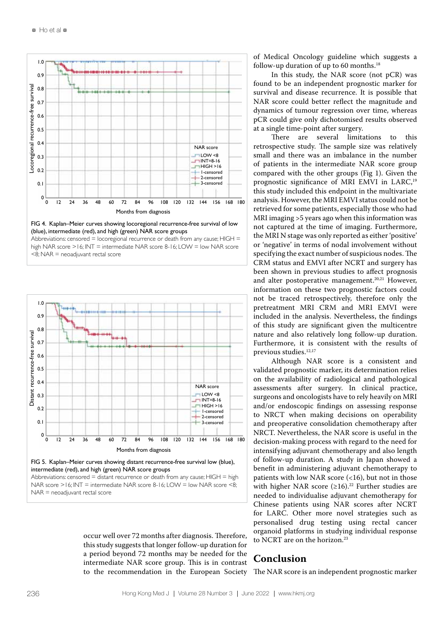

FIG 4. Kaplan–Meier curves showing locoregional recurrence-free survival of low (blue), intermediate (red), and high (green) NAR score groups

Abbreviations: censored = locoregional recurrence or death from any cause;  $HIGH$  = high NAR score >16; INT = intermediate NAR score 8-16; LOW = low NAR score  $<$ 8; NAR = neoadjuvant rectal score



FIG 5. Kaplan–Meier curves showing distant recurrence-free survival low (blue), intermediate (red), and high (green) NAR score groups

Abbreviations: censored  $=$  distant recurrence or death from any cause; HIGH  $=$  high NAR score >16; INT = intermediate NAR score 8-16; LOW = low NAR score <8;  $NAR =$  neoadjuvant rectal score

> occur well over 72 months after diagnosis. Therefore, this study suggests that longer follow-up duration for a period beyond 72 months may be needed for the intermediate NAR score group. This is in contrast to the recommendation in the European Society

of Medical Oncology guideline which suggests a follow-up duration of up to 60 months. $^{18}$ 

In this study, the NAR score (not pCR) was found to be an independent prognostic marker for survival and disease recurrence. It is possible that NAR score could better reflect the magnitude and dynamics of tumour regression over time, whereas pCR could give only dichotomised results observed at a single time-point after surgery.

There are several limitations to this retrospective study. The sample size was relatively small and there was an imbalance in the number of patients in the intermediate NAR score group compared with the other groups (Fig 1). Given the prognostic significance of MRI EMVI in LARC,<sup>19</sup> this study included this endpoint in the multivariate analysis. However, the MRI EMVI status could not be retrieved for some patients, especially those who had MRI imaging >5 years ago when this information was not captured at the time of imaging. Furthermore, the MRI N stage was only reported as either 'positive' or 'negative' in terms of nodal involvement without specifying the exact number of suspicious nodes. The CRM status and EMVI after NCRT and surgery has been shown in previous studies to affect prognosis and alter postoperative management.<sup>20,21</sup> However, information on these two prognostic factors could not be traced retrospectively, therefore only the pretreatment MRI CRM and MRI EMVI were included in the analysis. Nevertheless, the findings of this study are significant given the multicentre nature and also relatively long follow-up duration. Furthermore, it is consistent with the results of previous studies.<sup>12,17</sup>

Although NAR score is a consistent and validated prognostic marker, its determination relies on the availability of radiological and pathological assessments after surgery. In clinical practice, surgeons and oncologists have to rely heavily on MRI and/or endoscopic findings on assessing response to NRCT when making decisions on operability and preoperative consolidation chemotherapy after NRCT. Nevertheless, the NAR score is useful in the decision-making process with regard to the need for intensifying adjuvant chemotherapy and also length of follow-up duration. A study in Japan showed a benefit in administering adjuvant chemotherapy to patients with low NAR score (<16), but not in those with higher NAR score  $(\geq 16).^{22}$  Further studies are needed to individualise adjuvant chemotherapy for Chinese patients using NAR scores after NCRT for LARC. Other more novel strategies such as personalised drug testing using rectal cancer organoid platforms in studying individual response to NCRT are on the horizon.<sup>23</sup>

# **Conclusion**

The NAR score is an independent prognostic marker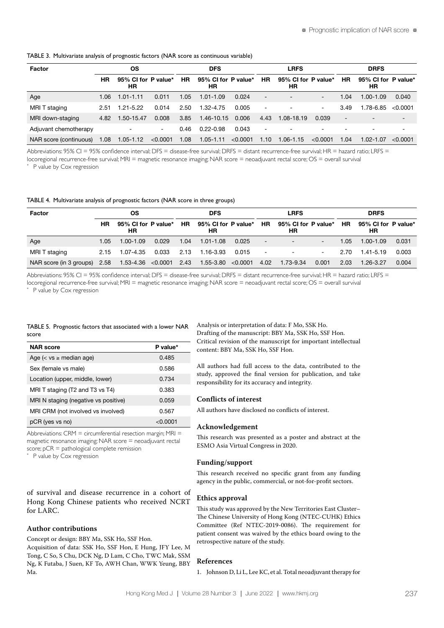| <b>OS</b><br>Factor    |      |                           | <b>DFS</b> |           |                           | <b>LRFS</b> |                          |                           | <b>DRFS</b>              |           |                           |          |
|------------------------|------|---------------------------|------------|-----------|---------------------------|-------------|--------------------------|---------------------------|--------------------------|-----------|---------------------------|----------|
|                        | HR   | 95% CI for P value*<br>ΗR |            | <b>HR</b> | 95% CI for P value*<br>HR |             | <b>HR</b>                | 95% CI for P value*<br>HR |                          | <b>HR</b> | 95% CI for P value*<br>НR |          |
| Age                    | 1.06 | $1.01 - 1.11$             | 0.011      | 1.05      | $1.01 - 1.09$             | 0.024       | $\overline{\phantom{a}}$ | $\overline{\phantom{a}}$  | $\overline{\phantom{a}}$ | 1.04      | $1.00 - 1.09$             | 0.040    |
| MRI T staging          | 2.51 | $1.21 - 5.22$             | 0.014      | 2.50      | $1.32 - 4.75$             | 0.005       | $\overline{\phantom{a}}$ | $\overline{\phantom{a}}$  | $\overline{\phantom{a}}$ | 3.49      | 1.78-6.85                 | < 0.0001 |
| MRI down-staging       | 4.82 | 1.50-15.47                | 0.008      | 3.85      | 1.46-10.15                | 0.006       | 4.43                     | 1.08-18.19                | 0.039                    |           | $\overline{\phantom{a}}$  |          |
| Adjuvant chemotherapy  |      |                           | - 1        | 0.46      | $0.22 - 0.98$             | 0.043       | $\overline{\phantom{a}}$ | $\overline{\phantom{0}}$  |                          |           | $\overline{\phantom{0}}$  | -        |
| NAR score (continuous) | 1.08 | $1.05 - 1.12$             | < 0.0001   | 1.08      | $1.05 - 1.11$             | < 0.0001    | 1.10                     | $1.06 - 1.15$             | $<$ 0.0001               | 1.04      | $1.02 - 1.07$             | < 0.0001 |

Abbreviations: 95% CI = 95% confidence interval; DFS = disease-free survival; DRFS = distant recurrence-free survival; HR = hazard ratio; LRFS = locoregional recurrence-free survival; MRI = magnetic resonance imaging; NAR score = neoadjuvant rectal score; OS = overall survival

P value by Cox regression

TABLE 4. Multivariate analysis of prognostic factors (NAR score in three groups)

| Factor                  | OS   |                           |       | <b>DFS</b> |                                            |       | <b>LRFS</b>            |                                   |                          | <b>DRFS</b> |                           |       |
|-------------------------|------|---------------------------|-------|------------|--------------------------------------------|-------|------------------------|-----------------------------------|--------------------------|-------------|---------------------------|-------|
|                         | HR   | 95% CI for P value*<br>НR |       | <b>HR</b>  | 95% CI for P value* HR<br>НR               |       |                        | 95% CI for P value*<br>НR         |                          | <b>HR</b>   | 95% CI for P value*<br>НR |       |
| Age                     | 1.05 | $1.00 - 1.09$             | 0.029 | 1.04       | $1.01 - 1.08$                              | 0.025 | $\sim$                 | $\overline{\phantom{0}}$          | $\overline{\phantom{a}}$ | 1.05        | $1.00 - 1.09$             | 0.031 |
| MRI T staging           | 2.15 | 1.07-4.35                 | 0.033 | 2.13       | 1.16-3.93                                  | 0.015 | and the company of the | <b>Contract Contract Contract</b> | <b>Contract Contract</b> | 2.70        | 1.41-5.19                 | 0.003 |
| NAR score (in 3 groups) | 2.58 |                           |       |            | $1.53-4.36$ <0.0001 2.43 1.55-3.80 <0.0001 |       | 4.02                   | 1.73-9.34                         | 0.001                    | 2.03        | 1.26-3.27                 | 0.004 |

Abbreviations: 95% CI = 95% confidence interval; DFS = disease-free survival; DRFS = distant recurrence-free survival; HR = hazard ratio; LRFS = locoregional recurrence-free survival; MRI = magnetic resonance imaging; NAR score = neoadjuvant rectal score; OS = overall survival

P value by Cox regression

#### TABLE 5. Prognostic factors that associated with a lower NAR score

| <b>NAR</b> score                     | P value*   |
|--------------------------------------|------------|
| Age $(<$ vs $\geq$ median age)       | 0.485      |
| Sex (female vs male)                 | 0.586      |
| Location (upper, middle, lower)      | 0.734      |
| MRI T staging (T2 and T3 vs T4)      | 0.383      |
| MRI N staging (negative vs positive) | 0.059      |
| MRI CRM (not involved vs involved)   | 0.567      |
| pCR (yes vs no)                      | $<$ 0.0001 |

Abbreviations:  $CRM = circumferential resection margin; MRI =$ magnetic resonance imaging; NAR score = neoadjuvant rectal score; pCR = pathological complete remission

P value by Cox regression

of survival and disease recurrence in a cohort of Hong Kong Chinese patients who received NCRT for LARC.

#### **Author contributions**

Concept or design: BBY Ma, SSK Ho, SSF Hon. Acquisition of data: SSK Ho, SSF Hon, E Hung, JFY Lee, M Tong, C So, S Chu, DCK Ng, D Lam, C Cho, TWC Mak, SSM Ng, K Futaba, J Suen, KF To, AWH Chan, WWK Yeung, BBY Ma.

Analysis or interpretation of data: F Mo, SSK Ho. Drafting of the manuscript: BBY Ma, SSK Ho, SSF Hon. Critical revision of the manuscript for important intellectual content: BBY Ma, SSK Ho, SSF Hon.

All authors had full access to the data, contributed to the study, approved the final version for publication, and take responsibility for its accuracy and integrity.

#### **Conflicts of interest**

All authors have disclosed no conflicts of interest.

#### **Acknowledgement**

This research was presented as a poster and abstract at the ESMO Asia Virtual Congress in 2020.

#### **Funding/support**

This research received no specific grant from any funding agency in the public, commercial, or not-for-profit sectors.

#### **Ethics approval**

This study was approved by the New Territories East Cluster– The Chinese University of Hong Kong (NTEC-CUHK) Ethics Committee (Ref NTEC-2019-0086). The requirement for patient consent was waived by the ethics board owing to the retrospective nature of the study.

#### **References**

1. Johnson D, Li L, Lee KC, et al. Total neoadjuvant therapy for